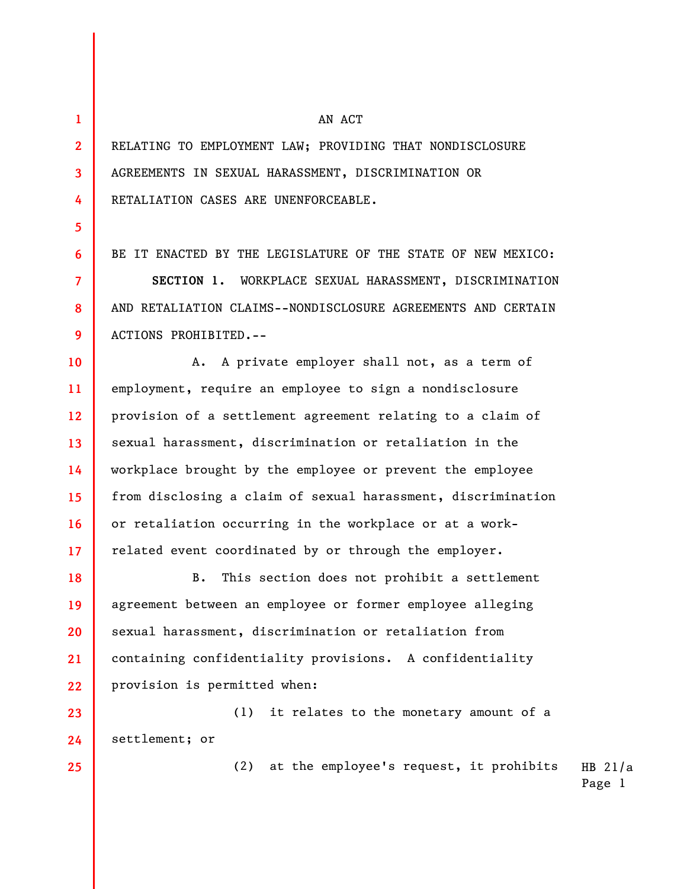**1 2** 

**3** 

**4** 

**5** 

**6** 

**7** 

**8** 

**9** 

**18** 

**19** 

**20** 

**21** 

**25** 

## AN ACT

RELATING TO EMPLOYMENT LAW; PROVIDING THAT NONDISCLOSURE AGREEMENTS IN SEXUAL HARASSMENT, DISCRIMINATION OR RETALIATION CASES ARE UNENFORCEABLE.

BE IT ENACTED BY THE LEGISLATURE OF THE STATE OF NEW MEXICO:

**SECTION 1.** WORKPLACE SEXUAL HARASSMENT, DISCRIMINATION AND RETALIATION CLAIMS--NONDISCLOSURE AGREEMENTS AND CERTAIN ACTIONS PROHIBITED.--

**10 11 12 13 14 15 16 17**  A. A private employer shall not, as a term of employment, require an employee to sign a nondisclosure provision of a settlement agreement relating to a claim of sexual harassment, discrimination or retaliation in the workplace brought by the employee or prevent the employee from disclosing a claim of sexual harassment, discrimination or retaliation occurring in the workplace or at a workrelated event coordinated by or through the employer.

**22**  B. This section does not prohibit a settlement agreement between an employee or former employee alleging sexual harassment, discrimination or retaliation from containing confidentiality provisions. A confidentiality provision is permitted when:

**23 24**  (1) it relates to the monetary amount of a settlement; or

> HB 21/a (2) at the employee's request, it prohibits